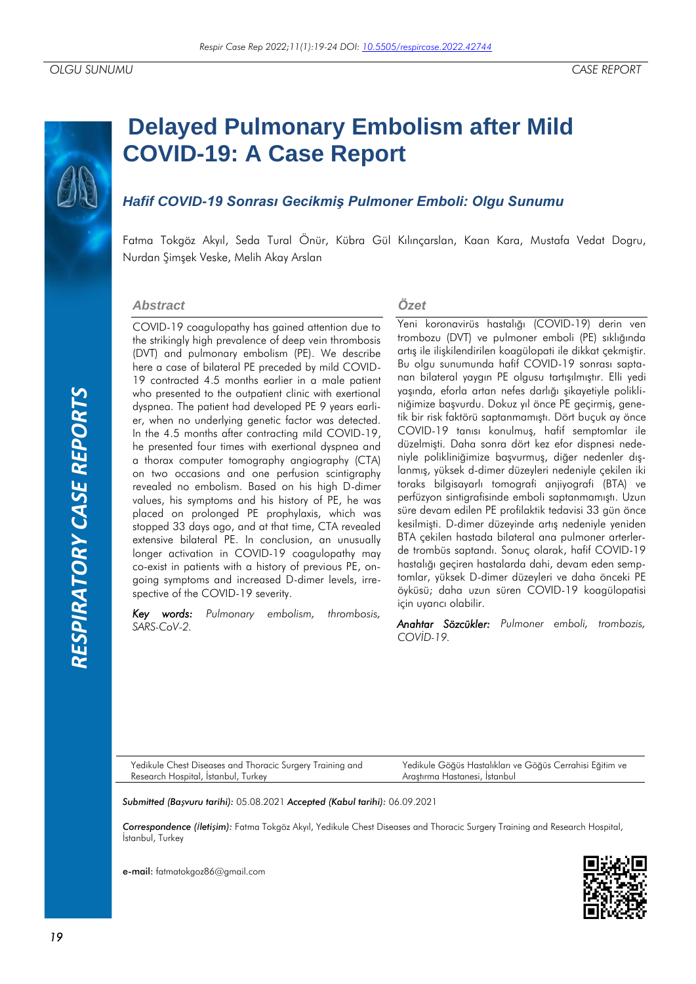# **RESPIRATORY CASE REPORTS** *RATORY CASE REPORTS*

# **Delayed Pulmonary Embolism after Mild COVID-19: A Case Report**

# *Hafif COVID-19 Sonrası Gecikmiş Pulmoner Emboli: Olgu Sunumu*

Fatma Tokgöz Akyıl, Seda Tural Önür, Kübra Gül Kılınçarslan, Kaan Kara, Mustafa Vedat Dogru, Nurdan Şimşek Veske, Melih Akay Arslan

### *Abstract*

COVID-19 coagulopathy has gained attention due to the strikingly high prevalence of deep vein thrombosis (DVT) and pulmonary embolism (PE). We describe here a case of bilateral PE preceded by mild COVID-19 contracted 4.5 months earlier in a male patient who presented to the outpatient clinic with exertional dyspnea. The patient had developed PE 9 years earlier, when no underlying genetic factor was detected. In the 4.5 months after contracting mild COVID-19, he presented four times with exertional dyspnea and a thorax computer tomography angiography (CTA) on two occasions and one perfusion scintigraphy revealed no embolism. Based on his high D-dimer values, his symptoms and his history of PE, he was placed on prolonged PE prophylaxis, which was stopped 33 days ago, and at that time, CTA revealed extensive bilateral PE. In conclusion, an unusually longer activation in COVID-19 coagulopathy may co-exist in patients with a history of previous PE, ongoing symptoms and increased D-dimer levels, irrespective of the COVID-19 severity.

*Key words: Pulmonary embolism, thrombosis, SARS-CoV-2.*

### *Özet*

Yeni koronavirüs hastalığı (COVID-19) derin ven trombozu (DVT) ve pulmoner emboli (PE) sıklığında artış ile ilişkilendirilen koagülopati ile dikkat çekmiştir. Bu olgu sunumunda hafif COVID-19 sonrası saptanan bilateral yaygın PE olgusu tartışılmıştır. Elli yedi yaşında, eforla artan nefes darlığı şikayetiyle polikliniğimize başvurdu. Dokuz yıl önce PE geçirmiş, genetik bir risk faktörü saptanmamıştı. Dört buçuk ay önce COVID-19 tanısı konulmuş, hafif semptomlar ile düzelmişti. Daha sonra dört kez efor dispnesi nedeniyle polikliniğimize başvurmuş, diğer nedenler dışlanmış, yüksek d-dimer düzeyleri nedeniyle çekilen iki toraks bilgisayarlı tomografi anjiyografi (BTA) ve perfüzyon sintigrafisinde emboli saptanmamıştı. Uzun süre devam edilen PE profilaktik tedavisi 33 gün önce kesilmişti. D-dimer düzeyinde artış nedeniyle yeniden BTA çekilen hastada bilateral ana pulmoner arterlerde trombüs saptandı. Sonuç olarak, hafif COVID-19 hastalığı geçiren hastalarda dahi, devam eden semptomlar, yüksek D-dimer düzeyleri ve daha önceki PE öyküsü; daha uzun süren COVID-19 koagülopatisi için uyarıcı olabilir.

*Anahtar Sözcükler: Pulmoner emboli, trombozis, COVİD-19.*

Yedikule Chest Diseases and Thoracic Surgery Training and Research Hospital, İstanbul, Turkey

Yedikule Göğüs Hastalıkları ve Göğüs Cerrahisi Eğitim ve Araştırma Hastanesi, İstanbul

*Submitted (Başvuru tarihi):* 05.08.2021 *Accepted (Kabul tarihi):* 06.09.2021

*Correspondence (İletişim):* Fatma Tokgöz Akyıl, Yedikule Chest Diseases and Thoracic Surgery Training and Research Hospital, İstanbul, Turkey

e-mail: fatmatokgoz86@gmail.com

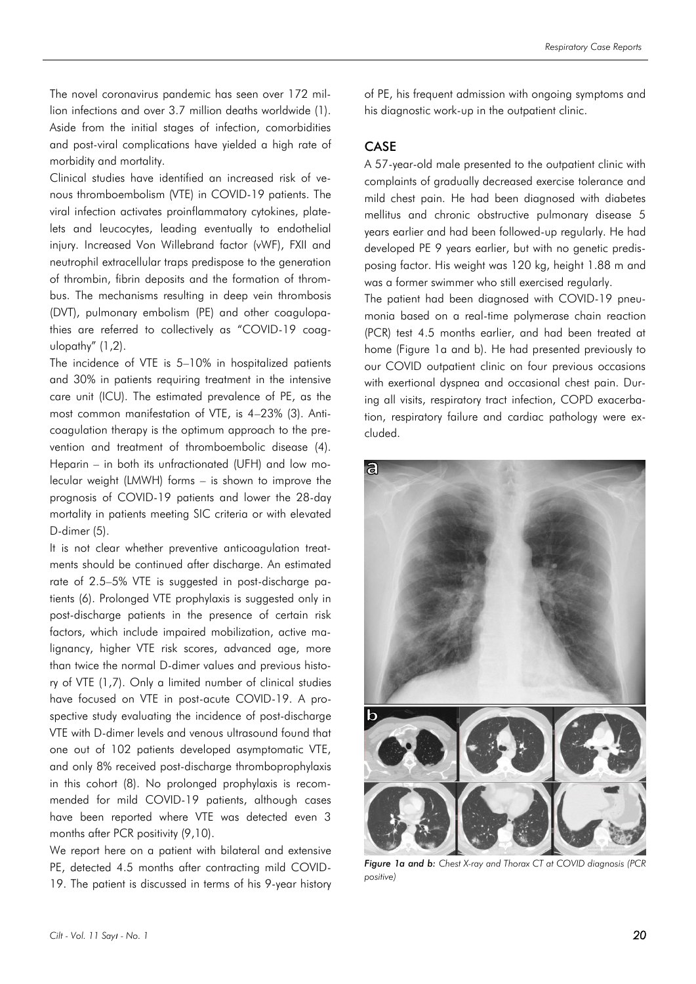The novel coronavirus pandemic has seen over 172 million infections and over 3.7 million deaths worldwide (1). Aside from the initial stages of infection, comorbidities and post-viral complications have yielded a high rate of morbidity and mortality.

Clinical studies have identified an increased risk of venous thromboembolism (VTE) in COVID-19 patients. The viral infection activates proinflammatory cytokines, platelets and leucocytes, leading eventually to endothelial injury. Increased Von Willebrand factor (vWF), FXII and neutrophil extracellular traps predispose to the generation of thrombin, fibrin deposits and the formation of thrombus. The mechanisms resulting in deep vein thrombosis (DVT), pulmonary embolism (PE) and other coagulopathies are referred to collectively as "COVID-19 coagulopathy" (1,2).

The incidence of VTE is 5–10% in hospitalized patients and 30% in patients requiring treatment in the intensive care unit (ICU). The estimated prevalence of PE, as the most common manifestation of VTE, is 4–23% (3). Anticoagulation therapy is the optimum approach to the prevention and treatment of thromboembolic disease (4). Heparin – in both its unfractionated (UFH) and low molecular weight (LMWH) forms – is shown to improve the prognosis of COVID-19 patients and lower the 28-day mortality in patients meeting SIC criteria or with elevated D-dimer (5).

It is not clear whether preventive anticoagulation treatments should be continued after discharge. An estimated rate of 2.5–5% VTE is suggested in post-discharge patients (6). Prolonged VTE prophylaxis is suggested only in post-discharge patients in the presence of certain risk factors, which include impaired mobilization, active malignancy, higher VTE risk scores, advanced age, more than twice the normal D-dimer values and previous history of VTE (1,7). Only a limited number of clinical studies have focused on VTE in post-acute COVID-19. A prospective study evaluating the incidence of post-discharge VTE with D-dimer levels and venous ultrasound found that one out of 102 patients developed asymptomatic VTE, and only 8% received post-discharge thromboprophylaxis in this cohort (8). No prolonged prophylaxis is recommended for mild COVID-19 patients, although cases have been reported where VTE was detected even 3 months after PCR positivity (9,10).

We report here on a patient with bilateral and extensive PE, detected 4.5 months after contracting mild COVID-19. The patient is discussed in terms of his 9-year history of PE, his frequent admission with ongoing symptoms and his diagnostic work-up in the outpatient clinic.

### **CASE**

A 57-year-old male presented to the outpatient clinic with complaints of gradually decreased exercise tolerance and mild chest pain. He had been diagnosed with diabetes mellitus and chronic obstructive pulmonary disease 5 years earlier and had been followed-up regularly. He had developed PE 9 years earlier, but with no genetic predisposing factor. His weight was 120 kg, height 1.88 m and was a former swimmer who still exercised regularly.

The patient had been diagnosed with COVID-19 pneumonia based on a real-time polymerase chain reaction (PCR) test 4.5 months earlier, and had been treated at home (Figure 1a and b). He had presented previously to our COVID outpatient clinic on four previous occasions with exertional dyspnea and occasional chest pain. During all visits, respiratory tract infection, COPD exacerbation, respiratory failure and cardiac pathology were excluded.



*Figure 1a and b: Chest X-ray and Thorax CT at COVID diagnosis (PCR positive)*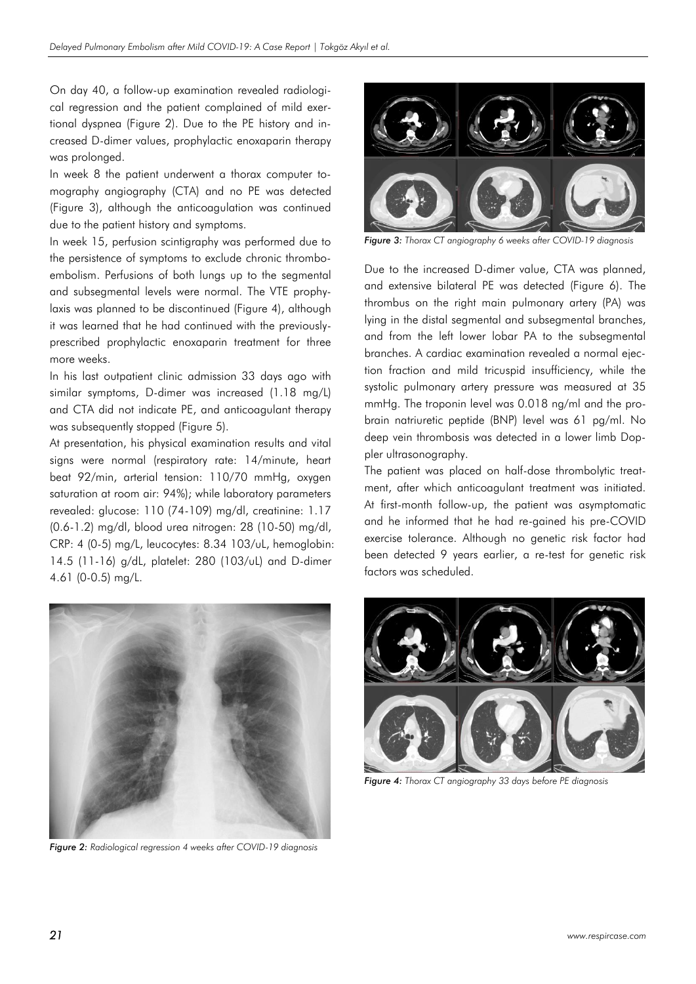On day 40, a follow-up examination revealed radiological regression and the patient complained of mild exertional dyspnea (Figure 2). Due to the PE history and increased D-dimer values, prophylactic enoxaparin therapy was prolonged.

In week 8 the patient underwent a thorax computer tomography angiography (CTA) and no PE was detected (Figure 3), although the anticoagulation was continued due to the patient history and symptoms.

In week 15, perfusion scintigraphy was performed due to the persistence of symptoms to exclude chronic thromboembolism. Perfusions of both lungs up to the segmental and subsegmental levels were normal. The VTE prophylaxis was planned to be discontinued (Figure 4), although it was learned that he had continued with the previouslyprescribed prophylactic enoxaparin treatment for three more weeks.

In his last outpatient clinic admission 33 days ago with similar symptoms, D-dimer was increased (1.18 mg/L) and CTA did not indicate PE, and anticoagulant therapy was subsequently stopped (Figure 5).

At presentation, his physical examination results and vital signs were normal (respiratory rate: 14/minute, heart beat 92/min, arterial tension: 110/70 mmHg, oxygen saturation at room air: 94%); while laboratory parameters revealed: glucose: 110 (74-109) mg/dl, creatinine: 1.17 (0.6-1.2) mg/dl, blood urea nitrogen: 28 (10-50) mg/dl, CRP: 4 (0-5) mg/L, leucocytes: 8.34 103/uL, hemoglobin: 14.5 (11-16) g/dL, platelet: 280 (103/uL) and D-dimer 4.61 (0-0.5) mg/L.



*Figure 2: Radiological regression 4 weeks after COVID-19 diagnosis*



*Figure 3: Thorax CT angiography 6 weeks after COVID-19 diagnosis*

Due to the increased D-dimer value, CTA was planned, and extensive bilateral PE was detected (Figure 6). The thrombus on the right main pulmonary artery (PA) was lying in the distal segmental and subsegmental branches, and from the left lower lobar PA to the subsegmental branches. A cardiac examination revealed a normal ejection fraction and mild tricuspid insufficiency, while the systolic pulmonary artery pressure was measured at 35 mmHg. The troponin level was 0.018 ng/ml and the probrain natriuretic peptide (BNP) level was 61 pg/ml. No deep vein thrombosis was detected in a lower limb Doppler ultrasonography.

The patient was placed on half-dose thrombolytic treatment, after which anticoagulant treatment was initiated. At first-month follow-up, the patient was asymptomatic and he informed that he had re-gained his pre-COVID exercise tolerance. Although no genetic risk factor had been detected 9 years earlier, a re-test for genetic risk factors was scheduled.



*Figure 4: Thorax CT angiography 33 days before PE diagnosis*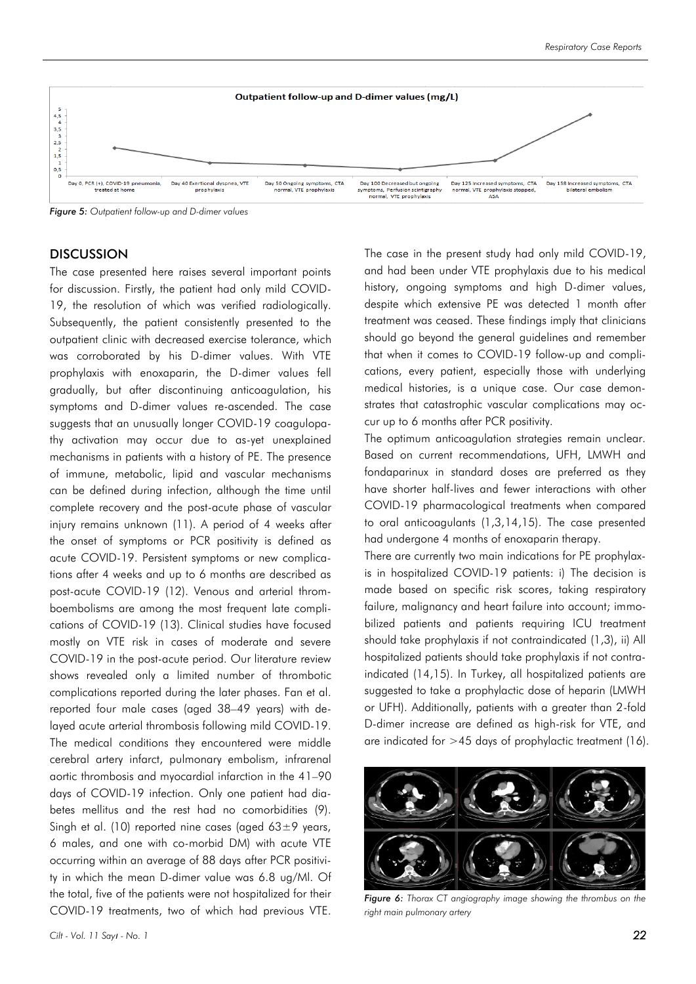

*Figure 5: Outpatient follow-up and D-dimer values*

### **DISCUSSION**

The case presented here raises several important points for discussion. Firstly, the patient had only mild COVID-19, the resolution of which was verified radiologically. Subsequently, the patient consistently presented to the outpatient clinic with decreased exercise tolerance, which was corroborated by his D-dimer values. With VTE prophylaxis with enoxaparin, the D-dimer values fell gradually, but after discontinuing anticoagulation, his symptoms and D-dimer values re-ascended. The case suggests that an unusually longer COVID-19 coagulopathy activation may occur due to as-yet unexplained mechanisms in patients with a history of PE. The presence of immune, metabolic, lipid and vascular mechanisms can be defined during infection, although the time until complete recovery and the post-acute phase of vascular injury remains unknown (11). A period of 4 weeks after the onset of symptoms or PCR positivity is defined as acute COVID-19. Persistent symptoms or new complications after 4 weeks and up to 6 months are described as post-acute COVID-19 (12). Venous and arterial thromboembolisms are among the most frequent late complications of COVID-19 (13). Clinical studies have focused mostly on VTE risk in cases of moderate and severe COVID-19 in the post-acute period. Our literature review shows revealed only a limited number of thrombotic complications reported during the later phases. Fan et al. reported four male cases (aged 38–49 years) with delayed acute arterial thrombosis following mild COVID-19. The medical conditions they encountered were middle cerebral artery infarct, pulmonary embolism, infrarenal aortic thrombosis and myocardial infarction in the 41–90 days of COVID-19 infection. Only one patient had diabetes mellitus and the rest had no comorbidities (9). Singh et al. (10) reported nine cases (aged  $63\pm9$  years, 6 males, and one with co-morbid DM) with acute VTE occurring within an average of 88 days after PCR positivity in which the mean D-dimer value was 6.8 ug/Ml. Of the total, five of the patients were not hospitalized for their COVID-19 treatments, two of which had previous VTE.

The case in the present study had only mild COVID-19, and had been under VTE prophylaxis due to his medical history, ongoing symptoms and high D-dimer values, despite which extensive PE was detected 1 month after treatment was ceased. These findings imply that clinicians should go beyond the general guidelines and remember that when it comes to COVID-19 follow-up and complications, every patient, especially those with underlying medical histories, is a unique case. Our case demonstrates that catastrophic vascular complications may occur up to 6 months after PCR positivity.

The optimum anticoagulation strategies remain unclear. Based on current recommendations, UFH, LMWH and fondaparinux in standard doses are preferred as they have shorter half-lives and fewer interactions with other COVID-19 pharmacological treatments when compared to oral anticoagulants (1,3,14,15). The case presented had undergone 4 months of enoxaparin therapy.

There are currently two main indications for PE prophylaxis in hospitalized COVID-19 patients: i) The decision is made based on specific risk scores, taking respiratory failure, malignancy and heart failure into account; immobilized patients and patients requiring ICU treatment should take prophylaxis if not contraindicated (1,3), ii) All hospitalized patients should take prophylaxis if not contraindicated (14,15). In Turkey, all hospitalized patients are suggested to take a prophylactic dose of heparin (LMWH or UFH). Additionally, patients with a greater than 2-fold D-dimer increase are defined as high-risk for VTE, and are indicated for >45 days of prophylactic treatment (16).



*Figure 6: Thorax CT angiography image showing the thrombus on the right main pulmonary artery*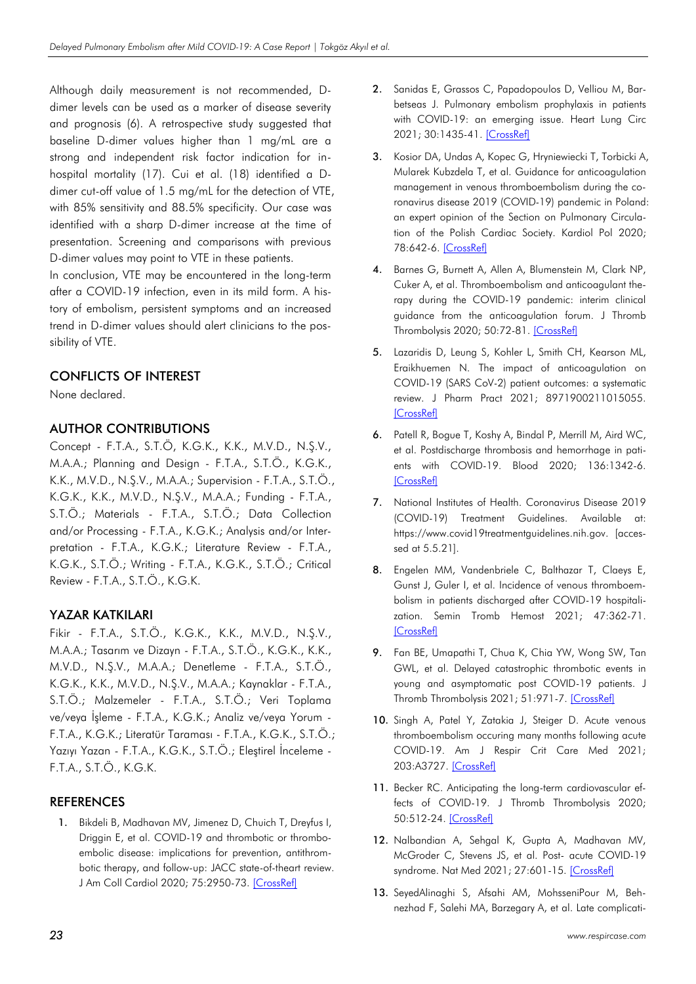Although daily measurement is not recommended, Ddimer levels can be used as a marker of disease severity and prognosis (6). A retrospective study suggested that baseline D-dimer values higher than 1 mg/mL are a strong and independent risk factor indication for inhospital mortality (17). Cui et al. (18) identified a Ddimer cut-off value of 1.5 mg/mL for the detection of VTE, with 85% sensitivity and 88.5% specificity. Our case was identified with a sharp D-dimer increase at the time of presentation. Screening and comparisons with previous D-dimer values may point to VTE in these patients.

In conclusion, VTE may be encountered in the long-term after a COVID-19 infection, even in its mild form. A history of embolism, persistent symptoms and an increased trend in D-dimer values should alert clinicians to the possibility of VTE.

# CONFLICTS OF INTEREST

None declared.

# AUTHOR CONTRIBUTIONS

Concept - F.T.A., S.T.Ö, K.G.K., K.K., M.V.D., N.Ş.V., M.A.A.; Planning and Design - F.T.A., S.T.Ö., K.G.K., K.K., M.V.D., N.Ş.V., M.A.A.; Supervision - F.T.A., S.T.Ö., K.G.K., K.K., M.V.D., N.Ş.V., M.A.A.; Funding - F.T.A., S.T.Ö.; Materials - F.T.A., S.T.Ö.; Data Collection and/or Processing - F.T.A., K.G.K.; Analysis and/or Interpretation - F.T.A., K.G.K.; Literature Review - F.T.A., K.G.K., S.T.Ö.; Writing - F.T.A., K.G.K., S.T.Ö.; Critical Review - F.T.A., S.T.Ö., K.G.K.

# YAZAR KATKILARI

Fikir - F.T.A., S.T.Ö., K.G.K., K.K., M.V.D., N.Ş.V., M.A.A.; Tasarım ve Dizayn - F.T.A., S.T.Ö., K.G.K., K.K., M.V.D., N.Ş.V., M.A.A.; Denetleme - F.T.A., S.T.Ö., K.G.K., K.K., M.V.D., N.Ş.V., M.A.A.; Kaynaklar - F.T.A., S.T.Ö.; Malzemeler - F.T.A., S.T.Ö.; Veri Toplama ve/veya İşleme - F.T.A., K.G.K.; Analiz ve/veya Yorum - F.T.A., K.G.K.; Literatür Taraması - F.T.A., K.G.K., S.T.Ö.; Yazıyı Yazan - F.T.A., K.G.K., S.T.Ö.; Eleştirel İnceleme - F.T.A., S.T.Ö., K.G.K.

# **REFERENCES**

1. Bikdeli B, Madhavan MV, Jimenez D, Chuich T, Dreyfus I, Driggin E, et al. COVID-19 and thrombotic or thromboembolic disease: implications for prevention, antithrombotic therapy, and follow-up: JACC state-of-theart review. J Am Coll Cardiol 2020; 75:2950-73. [\[CrossRef\]](https://doi.org/10.1016/j.jacc.2020.04.031)

- 2. Sanidas E, Grassos C, Papadopoulos D, Velliou M, Barbetseas J. Pulmonary embolism prophylaxis in patients with COVID-19: an emerging issue. Heart Lung Circ 2021; 30:1435-41. [\[CrossRef\]](https://doi.org/10.1016/j.hlc.2021.04.018)
- 3. Kosior DA, Undas A, Kopec G, Hryniewiecki T, Torbicki A, Mularek Kubzdela T, et al. Guidance for anticoagulation management in venous thromboembolism during the coronavirus disease 2019 (COVID-19) pandemic in Poland: an expert opinion of the Section on Pulmonary Circulation of the Polish Cardiac Society. Kardiol Pol 2020; 78:642-6. [\[CrossRef\]](https://doi.org/10.33963/KP.15425)
- 4. Barnes G, Burnett A, Allen A, Blumenstein M, Clark NP, Cuker A, et al. Thromboembolism and anticoagulant therapy during the COVID-19 pandemic: interim clinical guidance from the anticoagulation forum. J Thromb Thrombolysis 2020; 50:72-81. [\[CrossRef\]](https://doi.org/10.1007/s11239-020-02138-z)
- 5. Lazaridis D, Leung S, Kohler L, Smith CH, Kearson ML, Eraikhuemen N. The impact of anticoagulation on COVID-19 (SARS CoV-2) patient outcomes: a systematic review. J Pharm Pract 2021; 8971900211015055. [\[CrossRef\]](https://doi.org/10.1177/08971900211015055)
- 6. Patell R, Bogue T, Koshy A, Bindal P, Merrill M, Aird WC, et al. Postdischarge thrombosis and hemorrhage in patients with COVID-19. Blood 2020; 136:1342-6. [\[CrossRef\]](https://doi.org/10.1182/blood.2020007938)
- 7. National Institutes of Health. Coronavirus Disease 2019 (COVID-19) Treatment Guidelines. Available at: https://www.covid19treatmentguidelines.nih.gov. [accessed at 5.5.21].
- 8. Engelen MM, Vandenbriele C, Balthazar T, Claeys E, Gunst J, Guler I, et al. Incidence of venous thromboembolism in patients discharged after COVID-19 hospitalization. Semin Tromb Hemost 2021; 47:362-71. [\[CrossRef\]](https://doi.org/10.1055/s-0041-1727284)
- 9. Fan BE, Umapathi T, Chua K, Chia YW, Wong SW, Tan GWL, et al. Delayed catastrophic thrombotic events in young and asymptomatic post COVID-19 patients. J Thromb Thrombolysis 2021; 51:971-7. [\[CrossRef\]](https://doi.org/10.1007/s11239-020-02332-z)
- 10. Singh A, Patel Y, Zatakia J, Steiger D. Acute venous thromboembolism occuring many months following acute COVID-19. Am J Respir Crit Care Med 2021; 203:A3727. [\[CrossRef\]](https://doi.org/10.1164/ajrccm-conference.2021.203.1_MeetingAbstracts.A3727)
- 11. Becker RC. Anticipating the long-term cardiovascular effects of COVID-19. J Thromb Thrombolysis 2020; 50:512-24. [\[CrossRef\]](https://doi.org/10.1007/s11239-020-02266-6)
- 12. Nalbandian A, Sehaal K, Gupta A, Madhavan MV, McGroder C, Stevens JS, et al. Post- acute COVID-19 syndrome. Nat Med 2021; 27:601-15. [\[CrossRef\]](https://doi.org/10.1038/s41591-021-01283-z)
- 13. SeyedAlinaghi S, Afsahi AM, MohsseniPour M, Behnezhad F, Salehi MA, Barzegary A, et al. Late complicati-